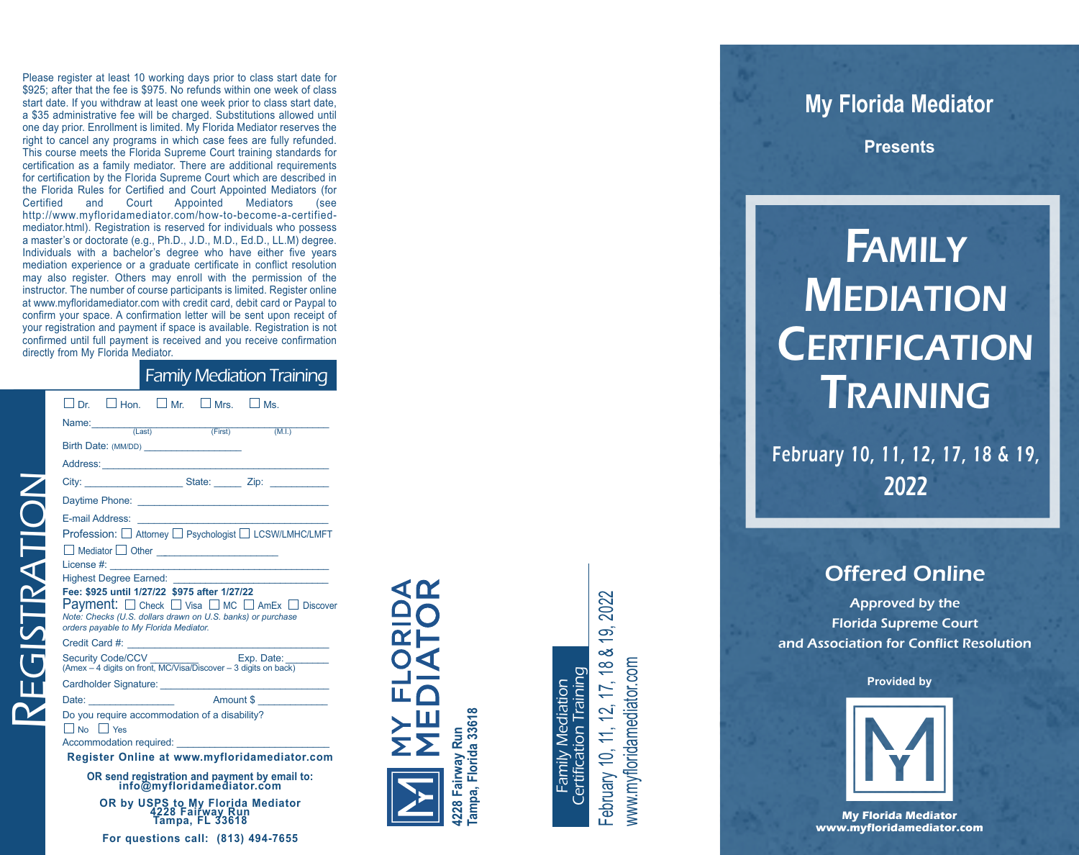Pleas<br>
\$925;<br>
start of Sanct of This is certifical and Sanct of This is certifical and Sanct of This is certifical and service Fitting that and and service of the Fitting of This certifical and analysis and and interest of e register at least 10 working days prior to class start date for \$925; after that the fee is \$975. No refunds within one week of class start date. If you withdraw at least one week prior to class start date, a \$35 administrative fee will be charged. Substitutions allowed until one day prior. Enrollment is limited. My Florida Mediator reserves the right to cancel any programs in which case fees are fully refunded. This course meets the Florida Supreme Court training standards for certification as a family mediator. There are additional requirements for certification by the Florida Supreme Court which are described in the Florida Rules for Certified and Court Appointed Mediators (for Certified a n d Court Appointed Mediators ( s e e http://www.myfloridamediator.com/how-to-become-a-certifiedmediator.html). Registration is reserved for individuals who possess a master's or doctorate (e.g., Ph.D., J.D., M.D., Ed.D., LL.M) degree. Individuals with a bachelor's degree who have either five years mediation experience or a graduate certificate in conflict resolution may also register. Others may enroll with the permission of the instructor. The number of course participants is limited. Register online at www.myfloridamediator.com with credit card, debit card or Paypal to confirm your space. A confirmation letter will be sent upon receipt of your registration and payment if space is available. Registration is not confirmed until full payment is received and you receive confirmation directly from My Florida Mediator.

#### Family Mediation Training

| Name: (Last) (First)<br>Birth Date: (MM/DD)                                                                                                                                                                                                 |  |  | (M.I.)                                                                                          |  |  |
|---------------------------------------------------------------------------------------------------------------------------------------------------------------------------------------------------------------------------------------------|--|--|-------------------------------------------------------------------------------------------------|--|--|
| Address: Analysis and the contract of the contract of the contract of the contract of the contract of the contract of the contract of the contract of the contract of the contract of the contract of the contract of the cont              |  |  |                                                                                                 |  |  |
|                                                                                                                                                                                                                                             |  |  | City: __________________________State: _________ Zip: __________________________                |  |  |
|                                                                                                                                                                                                                                             |  |  |                                                                                                 |  |  |
|                                                                                                                                                                                                                                             |  |  |                                                                                                 |  |  |
| Profession: □ Attorney □ Psychologist □ LCSW/LMHC/LMFT                                                                                                                                                                                      |  |  |                                                                                                 |  |  |
|                                                                                                                                                                                                                                             |  |  |                                                                                                 |  |  |
|                                                                                                                                                                                                                                             |  |  |                                                                                                 |  |  |
|                                                                                                                                                                                                                                             |  |  |                                                                                                 |  |  |
|                                                                                                                                                                                                                                             |  |  |                                                                                                 |  |  |
|                                                                                                                                                                                                                                             |  |  | <b>Payment:</b> $\Box$ Check $\Box$ Visa $\Box$ MC $\Box$ AmEx $\Box$ Discover                  |  |  |
|                                                                                                                                                                                                                                             |  |  |                                                                                                 |  |  |
|                                                                                                                                                                                                                                             |  |  | Security Code/CCV Exp. Date:<br>(Amex - 4 digits on front, MC/Visa/Discover - 3 digits on back) |  |  |
|                                                                                                                                                                                                                                             |  |  |                                                                                                 |  |  |
|                                                                                                                                                                                                                                             |  |  |                                                                                                 |  |  |
| Fee: \$925 until 1/27/22 \$975 after 1/27/22<br>Note: Checks (U.S. dollars drawn on U.S. banks) or purchase<br>orders payable to My Florida Mediator.<br>Do you require accommodation of a disability?<br>No Yes<br>Accommodation required: |  |  |                                                                                                 |  |  |

 $T$ ISTRAT

OR by USPS to My Florida Mediator<br>4228 Fairway Run<br>Tampa, FL 33618 For questions call: (813) 494-7655

≃⊧ 4228 Fairway Run<br>Tampa, Florida 33618 **Tampa, Florida 33618 4228 Fairway Run**

⋖≃

Certification Training Certification Training Family Mediation Family Mediation

19, 2022 February 10, 11, 12, 17, 18 & 19, 2022 œ්  $17, 188$ www.myfloridamediator.com www.myfloridamediator.com 12, February 10, 11,

# **My Florida Mediator**

**P r e s e n t s**

# **FAMILY MEDIATION [CERT](https://www.myfloridamediator.com/online-mediation-certification-training.html)IFICATION** TRAINING

February 10, 11, 12, 17, 18 & 19, 2 0 2 2

## Offered Online

Approved by the **Florida Supreme Court** and Association for Conflict Resolution

**Provided by** 



**My Florida Mediator** www.myfloridamediator.com